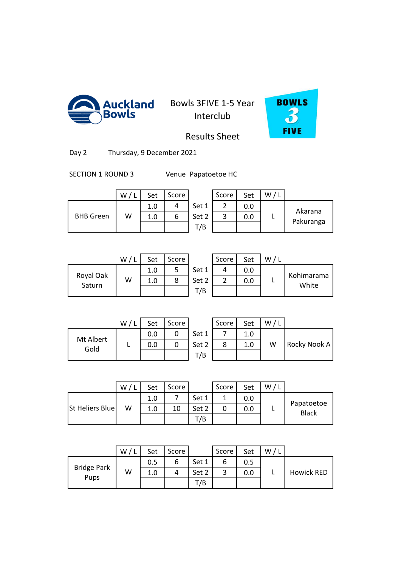



Results Sheet

Day 2 Thursday, 9 December 2021

SECTION 1 ROUND 3 Venue Papatoetoe HC

|                  | W | Set | Score |       | Score | Set | W |                      |
|------------------|---|-----|-------|-------|-------|-----|---|----------------------|
|                  |   | 1.0 |       | Set 1 | ∽     | 0.0 |   |                      |
| <b>BHB</b> Green | W | 1.0 | b     | Set 2 | ີ     | 0.0 |   | Akarana<br>Pakuranga |
|                  |   |     |       | T/B   |       |     |   |                      |

|   | score | Set |                      |
|---|-------|-----|----------------------|
| 1 |       | 0.0 |                      |
| 2 |       | 0.O | Akarana<br>Pakuranga |
|   |       |     |                      |
|   |       |     |                      |

|                     | W/1 | Set | Score |       | Score | Set |  |
|---------------------|-----|-----|-------|-------|-------|-----|--|
|                     |     | 1.0 |       | Set 1 |       | 0.0 |  |
| Royal Oak<br>Saturn | W   | 1.0 | 8     | Set 2 |       | 0.0 |  |
|                     |     |     |       | T/B   |       |     |  |
|                     |     |     |       |       |       |     |  |

| W | Set | Score |       | Score | Set | w |                     |
|---|-----|-------|-------|-------|-----|---|---------------------|
|   | 1.0 |       | Set 1 |       | 0.0 |   |                     |
| W | 1.0 |       | Set 2 |       | 0.0 |   | Kohimarama<br>White |
|   |     |       | T/B   |       |     |   |                     |

|           | W/L | Set | Score |    |
|-----------|-----|-----|-------|----|
| Mt Albert |     | 0.0 |       | Se |
| Gold      |     | 0.0 |       | SЄ |
|           |     |     |       |    |

|          | W/1 | Set | Score |       | Score | Set | W/L |              |
|----------|-----|-----|-------|-------|-------|-----|-----|--------------|
| t Albert |     | 0.0 | 0     | Set 1 |       | 1.0 |     |              |
| Gold     |     | 0.0 |       | Set 2 | 8     | 1.0 | W   | Rocky Nook A |
|          |     |     |       | T/B   |       |     |     |              |
|          |     |     |       |       |       |     |     |              |

|                 | W/ | Set | Score |       | Score | Set | W |                     |
|-----------------|----|-----|-------|-------|-------|-----|---|---------------------|
|                 |    | 1.0 |       | Set 1 |       | 0.0 |   |                     |
| St Heliers Blue | w  | 1.0 | 10    | Set 2 |       | 0.0 |   | Papatoetoe<br>Black |
|                 |    |     |       | T/B   |       |     |   |                     |
|                 |    |     |       |       |       |     |   |                     |

|                    | W | Set | Score |       | Score | Set | W |                   |
|--------------------|---|-----|-------|-------|-------|-----|---|-------------------|
|                    |   | 0.5 | b     | Set 1 |       | 0.5 |   |                   |
| <b>Bridge Park</b> | W | 1.0 | 4     | Set 2 |       | 0.0 |   | <b>Howick RED</b> |
| <b>Pups</b>        |   |     |       | T/B   |       |     |   |                   |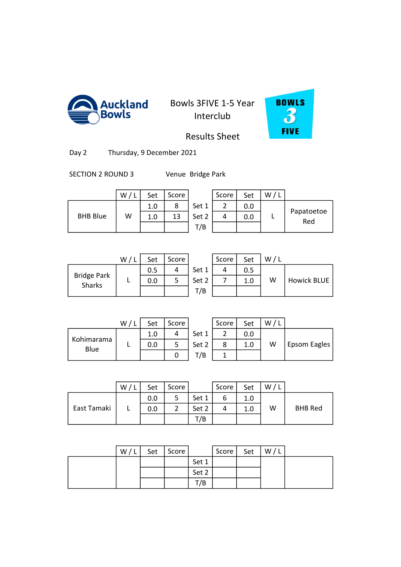



Results Sheet

Day 2 Thursday, 9 December 2021

SECTION 2 ROUND 3 Venue Bridge Park

|                 | W | Set | Score |       | Score | Set | W |                   |
|-----------------|---|-----|-------|-------|-------|-----|---|-------------------|
|                 |   | 1.0 | 8     | Set 1 |       | 0.0 |   |                   |
| <b>BHB Blue</b> | W | 1.0 | 13    | Set 2 |       | 0.0 |   | Papatoetoe<br>Red |
|                 |   |     |       | T/B   |       |     |   |                   |

|   | Score | Set | W, |            |
|---|-------|-----|----|------------|
|   |       | 0.0 |    |            |
| 2 |       | 0.0 |    | Papatoetoe |
| В |       |     |    |            |
|   |       |     |    | Red        |

|                              | W/L | Set | Score |       | Score | Set |   |
|------------------------------|-----|-----|-------|-------|-------|-----|---|
|                              |     | 0.5 |       | Set 1 |       | 0.5 |   |
| <b>Bridge Park</b><br>Sharks |     | 0.0 |       | Set 2 |       | 1.0 | W |
|                              |     |     |       | T/B   |       |     |   |
|                              |     |     |       |       |       |     |   |

|                            | W | Set | Score |       | Score | Set | W/l |                    |
|----------------------------|---|-----|-------|-------|-------|-----|-----|--------------------|
|                            |   | 0.5 |       | Set 1 |       | 0.5 |     |                    |
| idge Park<br><b>Sharks</b> |   | 0.0 |       | Set 2 |       | 1.0 | W   | <b>Howick BLUE</b> |
|                            |   |     |       | T/B   |       |     |     |                    |

|                    | W/L | Set | Score |    |
|--------------------|-----|-----|-------|----|
|                    |     | 1.0 |       | S۴ |
| Kohimarama<br>Blue |     | 0.0 |       | ŠЄ |
|                    |     |     | 0     |    |

|                 | W/1 | Set | Score |       | Score | Set | W |              |
|-----------------|-----|-----|-------|-------|-------|-----|---|--------------|
|                 |     | 1.0 |       | Set 1 |       | 0.0 |   |              |
| imarama<br>Blue |     | 0.0 |       | Set 2 |       | 1.0 | W | Epsom Eagles |
|                 |     |     |       | '/B   |       |     |   |              |

|             | W | Set | Score |       | Score | Set | W, |                |
|-------------|---|-----|-------|-------|-------|-----|----|----------------|
|             |   | 0.0 | 5     | Set 1 | ь     | 1.0 |    |                |
| East Tamaki |   | 0.0 | 2     | Set 2 | 4     | 1.0 | W  | <b>BHB Red</b> |
|             |   |     |       | T/B   |       |     |    |                |
|             |   |     |       |       |       |     |    |                |

0 1.0 9 1.0 9 1.0 9 1.0 9 1.0 9 1.0 9 1.0 9 1.0 9 1.0 9 1.0 9 1.0 9 1.0 9 1.0 9 1.0 9 1.0 9 1.0 9 1.0 9 1.0 9

| W/L | Set | Score |       | Score | Set | W/L |  |
|-----|-----|-------|-------|-------|-----|-----|--|
|     |     |       | Set 1 |       |     |     |  |
|     |     |       | Set 2 |       |     |     |  |
|     |     |       | T/B   |       |     |     |  |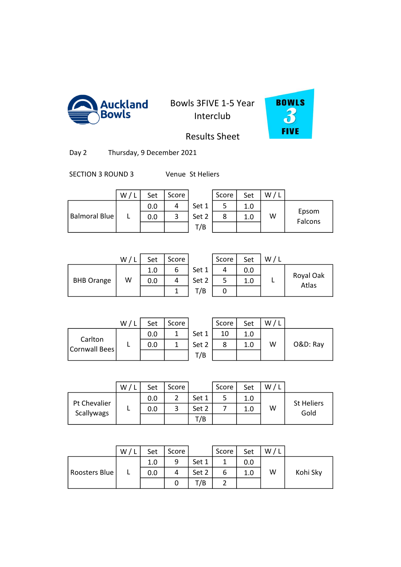



Results Sheet

Day 2 Thursday, 9 December 2021

SECTION 3 ROUND 3 Venue St Heliers

|               | W | Set | Score |       | Score | Set | W |                  |
|---------------|---|-----|-------|-------|-------|-----|---|------------------|
|               |   | 0.0 |       | Set 1 |       | 1.0 |   |                  |
| Balmoral Blue |   | 0.0 |       | Set 2 | 8     | 1.0 | W | Epsom<br>Falcons |
|               |   |     |       | T/B   |       |     |   |                  |

|                   | W/I | Set | Score |       | Score | Set | W/L |                    |
|-------------------|-----|-----|-------|-------|-------|-----|-----|--------------------|
|                   |     | 1.0 | 6     | Set 1 |       | 0.0 |     |                    |
| <b>BHB Orange</b> | W   | 0.0 | 4     | Set 2 |       | 1.0 |     | Royal Oak<br>Atlas |
|                   |     |     |       | T/B   |       |     |     |                    |
|                   |     |     |       |       |       |     |     |                    |

|      | Score | Set | W/L |                    |
|------|-------|-----|-----|--------------------|
| et 1 |       | 0.0 |     |                    |
| et 2 |       | 1.0 |     | Royal Oak<br>Atlas |
| T/B  |       |     |     |                    |

|                          | W/ | Set | Score |       | Score | Set | w |          |
|--------------------------|----|-----|-------|-------|-------|-----|---|----------|
|                          |    | 0.0 |       | Set 1 | 10    | 1.0 |   |          |
| Carlton<br>Cornwall Bees |    | 0.0 |       | Set 2 |       | 1.0 | W | O&D: Ray |
|                          |    |     |       | T/B   |       |     |   |          |

| W/L | Set | Score |       | Score | Set | W/L |          |
|-----|-----|-------|-------|-------|-----|-----|----------|
|     | 0.0 |       | Set 1 | 10    | 1.0 |     |          |
|     | 0.0 |       | Set 2 |       | 1.0 | W   | O&D: Ray |
|     |     |       | T/B   |       |     |     |          |

|                            | W | Set | Score |       | Score | Set | W |                           |
|----------------------------|---|-----|-------|-------|-------|-----|---|---------------------------|
|                            |   | 0.0 | 2     | Set 1 | 5     | 1.0 |   |                           |
| Pt Chevalier<br>Scallywags |   | 0.0 | 3     | Set 2 |       | 1.0 | W | <b>St Heliers</b><br>Gold |
|                            |   |     |       | T/B   |       |     |   |                           |
|                            |   |     |       |       |       |     |   |                           |

0 0.0 2 18 2.0 3

|               | W | Set | Score |       | Score | Set | W/L |          |
|---------------|---|-----|-------|-------|-------|-----|-----|----------|
|               |   | 1.0 | q     | Set 1 |       | 0.0 |     |          |
| Roosters Blue | - | 0.0 |       | Set 2 | ь     | 1.0 | W   | Kohi Sky |
|               |   |     |       | T/B   |       |     |     |          |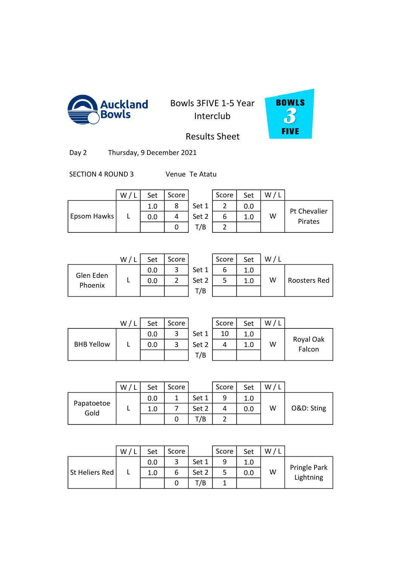



Results Sheet

Day 2 Thursday, 9 December 2021

SECTION 4 ROUND 3 Venue Te Atatu

|             | W | Set | Score |       | Score             | Set | W |                         |
|-------------|---|-----|-------|-------|-------------------|-----|---|-------------------------|
|             |   | 1.0 |       | Set 1 | $\mathbf{\hat{}}$ | 0.0 |   |                         |
| Epsom Hawks |   | 0.0 |       | Set 2 |                   | 1.0 | W | Pt Chevalier<br>Pirates |
|             |   |     |       | T/B   | ∽                 |     |   |                         |

|      | Score | Set | W |              |
|------|-------|-----|---|--------------|
| et 1 |       | 0.0 |   | Pt Chevalier |
| ≥t 2 |       | 1.0 | w | Pirates      |
| '/B  |       |     |   |              |

|                      | W/ | Set | Score |       | Score | Set |   |
|----------------------|----|-----|-------|-------|-------|-----|---|
| Glen Eden<br>Phoenix |    | 0.0 |       | Set 1 |       | 1.0 |   |
|                      |    | 0.0 |       | Set 2 |       | 1.0 | W |
|                      |    |     |       | T/B   |       |     |   |
|                      |    |     |       |       |       |     |   |

|                      | W | Set | Score |       | Score | Set | W/L |              |
|----------------------|---|-----|-------|-------|-------|-----|-----|--------------|
| ilen Eden<br>Phoenix |   | 0.0 | э     | Set 1 |       | 1.0 |     |              |
|                      |   | 0.0 |       | Set 2 |       | 1.0 | w   | Roosters Red |
|                      |   |     |       | T/B   |       |     |     |              |

|                   | W/L | Set | Score |    |
|-------------------|-----|-----|-------|----|
| <b>BHB Yellow</b> |     | 0.0 |       | Se |
|                   |     | 0.0 |       | Sє |
|                   |     |     |       |    |

|                   | W | Set | Score |       | Score | Set | W. |                     |
|-------------------|---|-----|-------|-------|-------|-----|----|---------------------|
| <b>BHB Yellow</b> |   | 0.0 | 2     | Set 1 | 10    | 1.0 |    |                     |
|                   |   | 0.0 | э     | Set 2 |       | 1.0 | W  | Royal Oak<br>Falcon |
|                   |   |     |       | T/B   |       |     |    |                     |

|                    | W <sub>1</sub> | Set | Score |       | Score | Set | W |            |
|--------------------|----------------|-----|-------|-------|-------|-----|---|------------|
| Papatoetoe<br>Gold |                | 0.0 | 1     | Set 1 | 9     | 1.0 |   |            |
|                    |                | 1.0 |       | Set 2 | 4     | 0.0 | W | O&D: Sting |
|                    |                |     | 0     | T/B   |       |     |   |            |
|                    |                |     |       |       |       |     |   |            |

0 0.0 6 14 2.0 3

|                | W | Set | Score |       | Score | Set | W |                           |
|----------------|---|-----|-------|-------|-------|-----|---|---------------------------|
| St Heliers Red |   | 0.0 | ົ     | Set 1 | q     | 1.0 |   | Pringle Park<br>Lightning |
|                |   | 1.0 |       | Set 2 |       | 0.0 | W |                           |
|                |   |     |       | T/B   |       |     |   |                           |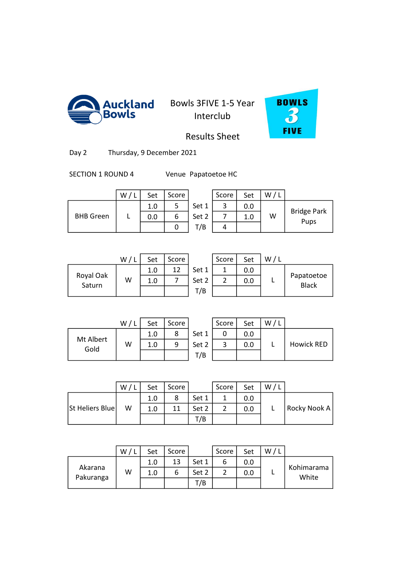

**Auckland** Bowls 3FIVE 1-5 Year Interclub



Results Sheet

Day 2 Thursday, 9 December 2021

SECTION 1 ROUND 4 Venue Papatoetoe HC

|                  | W | Set | Score |       | Score | Set | W/L |                            |
|------------------|---|-----|-------|-------|-------|-----|-----|----------------------------|
| <b>BHB</b> Green |   | 1.0 | ر     | Set 1 |       | 0.0 |     | <b>Bridge Park</b><br>Pups |
|                  |   | 0.0 | ь     | Set 2 |       | 1.0 | W   |                            |
|                  |   |     | U     | T/B   |       |     |     |                            |

|      | Score | Set |   |                            |
|------|-------|-----|---|----------------------------|
| et 1 |       | 0.0 |   |                            |
| et 2 |       | 1.0 | w | <b>Bridge Park</b><br>Pups |
| T/B  |       |     |   |                            |

|                     | W/1 | Set | Score |       | Score | Set |  |
|---------------------|-----|-----|-------|-------|-------|-----|--|
| Royal Oak<br>Saturn | W   | 1.0 | 12    | Set 1 |       | 0.0 |  |
|                     |     | 1.0 |       | Set 2 |       | 0.0 |  |
|                     |     |     |       | T/B   |       |     |  |
|                     |     |     |       |       |       |     |  |

| W | Set | Score |       | Score | Set | w |                            |
|---|-----|-------|-------|-------|-----|---|----------------------------|
|   | 1.0 | 12    | Set 1 |       | 0.0 |   |                            |
| W | 1.0 |       | Set 2 |       | 0.0 |   | Papatoetoe<br><b>Black</b> |
|   |     |       | T/B   |       |     |   |                            |

|                   | W/L | Set | Score |    |
|-------------------|-----|-----|-------|----|
|                   |     | 1.0 |       | Se |
| Mt Albert<br>Gold | W   | 1.0 |       | Sе |
|                   |     |     |       |    |

|                  | W/1 | Set | Score |       | Score | Set | W/L |            |
|------------------|-----|-----|-------|-------|-------|-----|-----|------------|
|                  |     | 1.0 |       | Set 1 |       | 0.0 |     |            |
| t Albert<br>Gold | W   | 1.0 | q     | Set 2 |       | 0.0 |     | Howick RED |
|                  |     |     |       | T/B   |       |     |     |            |

|                 | W / L | Set | Score |       | Score | Set | W, |              |
|-----------------|-------|-----|-------|-------|-------|-----|----|--------------|
|                 |       | 1.0 | 8     | Set 1 |       | 0.0 |    |              |
| St Heliers Blue | W     | 1.0 | 11    | Set 2 |       | 0.0 |    | Rocky Nook A |
|                 |       |     |       | T/B   |       |     |    |              |
|                 |       |     |       |       |       |     |    |              |

3 2.0 17 3.0 17 3.0 17 3.0 17 3.0 17 3.0 17 4.0 17 4.0 17 4.0 17 4.0 17 4.0 17 4.0 17 4.0 17 4.0 17 4.0 17 4.0

|           | W | Set | Score |       | Score | Set | W |                     |
|-----------|---|-----|-------|-------|-------|-----|---|---------------------|
|           |   | 1.0 | 13    | Set 1 |       | 0.0 |   |                     |
| Akarana   | W | 1.0 | b     | Set 2 |       | 0.0 |   | Kohimarama<br>White |
| Pakuranga |   |     |       | T/B   |       |     |   |                     |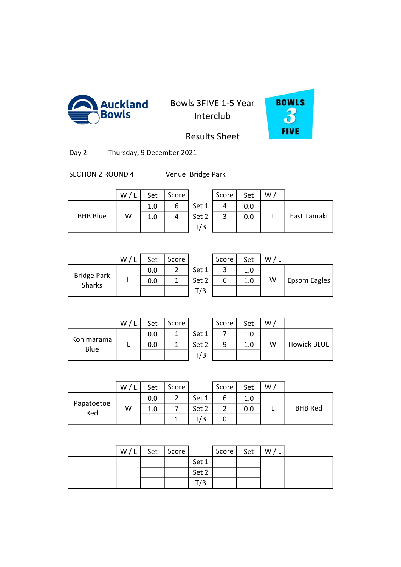



Results Sheet

Day 2 Thursday, 9 December 2021

SECTION 2 ROUND 4 Venue Bridge Park

|                 | W/L | Set | Score |       | Score | Set | w |
|-----------------|-----|-----|-------|-------|-------|-----|---|
|                 |     | 1.0 | o     | Set 1 |       | 0.0 |   |
| <b>BHB Blue</b> | W   | 1.0 |       | Set 2 |       | 0.0 |   |
|                 |     |     |       | T/B   |       |     |   |

|                 | W | Set | Score |       | Score | Set | W |             |
|-----------------|---|-----|-------|-------|-------|-----|---|-------------|
|                 |   | 1.0 |       | Set 1 |       | 0.0 |   |             |
| <b>BHB Blue</b> | W | 1.0 |       | Set 2 | ັ     | 0.0 |   | East Tamaki |
|                 |   |     |       | T/B   |       |     |   |             |

|                              | W/1 | Set | Score |       | Score | Set     |   |
|------------------------------|-----|-----|-------|-------|-------|---------|---|
|                              |     | 0.0 |       | Set 1 |       | 1.0     |   |
| <b>Bridge Park</b><br>Sharks |     | 0.0 |       | Set 2 | ь     | $1.0\,$ | W |
|                              |     |     |       | T/B   |       |         |   |
|                              |     |     |       |       |       |         |   |

|                            | W | Set | Score |       | Score | Set | W/1 |              |
|----------------------------|---|-----|-------|-------|-------|-----|-----|--------------|
|                            |   | 0.0 |       | Set 1 |       | 1.0 |     |              |
| idge Park<br><b>Sharks</b> |   | 0.0 |       | Set 2 | o     | 1.0 | W   | Epsom Eagles |
|                            |   |     |       | T/B   |       |     |     |              |

|                    | W/L | Set | Score |    |
|--------------------|-----|-----|-------|----|
|                    |     | 0.0 |       | Sє |
| Kohimarama<br>Blue |     | 0.0 |       | ŠЄ |
|                    |     |     |       |    |

|                 | W/1 | Set | Score |       | Score | Set | $W$ , |                    |
|-----------------|-----|-----|-------|-------|-------|-----|-------|--------------------|
|                 |     | 0.0 |       | Set 1 |       | 1.0 |       |                    |
| imarama<br>Blue |     | 0.0 |       | Set 2 | 9     | 1.0 | W     | <b>Howick BLUE</b> |
|                 |     |     |       | T/B   |       |     |       |                    |

|                   | W | Set | Score |       | Score | Set | W |                |
|-------------------|---|-----|-------|-------|-------|-----|---|----------------|
|                   |   | 0.0 | 2     | Set 1 | ь     | 1.0 |   |                |
| Papatoetoe<br>Red | W | 1.0 |       | Set 2 | 2     | 0.0 |   | <b>BHB Red</b> |
|                   |   |     |       | T/B   | U     |     |   |                |
|                   |   |     |       |       |       |     |   |                |

0 0.0 2 16 2.0 3

| W/L | Set | Score |       | Score | Set | W/L |  |
|-----|-----|-------|-------|-------|-----|-----|--|
|     |     |       | Set 1 |       |     |     |  |
|     |     |       | Set 2 |       |     |     |  |
|     |     |       | T/B   |       |     |     |  |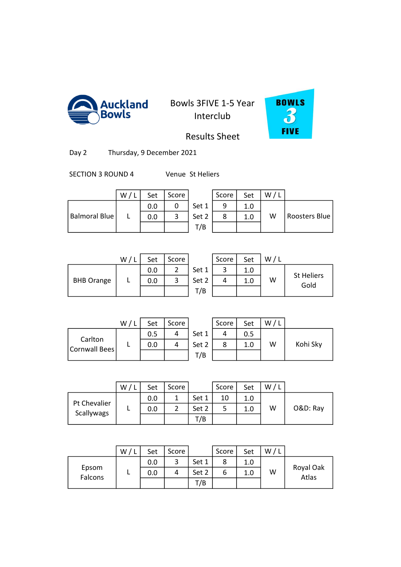



Results Sheet

Day 2 Thursday, 9 December 2021

SECTION 3 ROUND 4 Venue St Heliers

|                      | W | Set | Score |       | Score | Set | W/I |                      |
|----------------------|---|-----|-------|-------|-------|-----|-----|----------------------|
|                      |   | 0.0 |       | Set 1 | a     | 1.0 |     |                      |
| <b>Balmoral Blue</b> |   | 0.0 | ີ     | Set 2 |       | 1.0 | W   | <b>Roosters Blue</b> |
|                      |   |     |       | T/B   |       |     |     |                      |

|                   | W/L | Set | Score |       | Score | Set | / L<br>W |
|-------------------|-----|-----|-------|-------|-------|-----|----------|
|                   |     | 0.0 |       | Set 1 |       | 1.0 |          |
| <b>BHB Orange</b> |     | 0.0 | 3     | Set 2 |       | 1.0 | W        |
|                   |     |     |       | T/B   |       |     |          |
|                   |     |     |       |       |       |     |          |

|                   | W | Set | Score |       | Score | Set | W/I |                           |
|-------------------|---|-----|-------|-------|-------|-----|-----|---------------------------|
|                   |   | 0.0 | ∽     | Set 1 | ◠     | 1.0 |     |                           |
| <b>BHB Orange</b> |   | 0.0 | э     | Set 2 |       | 1.0 | W   | <b>St Heliers</b><br>Gold |
|                   |   |     |       | T/B   |       |     |     |                           |

|                          | W, | Set | Score |       | Score | Set | w |          |
|--------------------------|----|-----|-------|-------|-------|-----|---|----------|
|                          |    | 0.5 |       | Set 1 |       | 0.5 |   |          |
| Carlton<br>Cornwall Bees |    | 0.0 |       | Set 2 |       | 1.0 | W | Kohi Sky |
|                          |    |     |       | T/B   |       |     |   |          |

| W / L | Set | Score |       | Score | Set | W/L |          |
|-------|-----|-------|-------|-------|-----|-----|----------|
|       | 0.5 |       | Set 1 |       | 0.5 |     |          |
|       | 0.0 |       | Set 2 |       | 1.0 | W   | Kohi Sky |
|       |     |       | T/B   |       |     |     |          |

|                            | W | Set | Score |       | Score | Set | W |          |
|----------------------------|---|-----|-------|-------|-------|-----|---|----------|
|                            |   | 0.0 | 1     | Set 1 | 10    | 1.0 |   |          |
| Pt Chevalier<br>Scallywags |   | 0.0 | 2     | Set 2 |       | 1.0 | W | O&D: Ray |
|                            |   |     |       | T/B   |       |     |   |          |
|                            |   |     |       |       |       |     |   |          |

0 1.5 8 1.5 8 1.5 8 1.5 8 1.5 8 1.5 8 1.5 8 1.5 8 1.5 8 1.5 8 1.5 8 1.5 8 1.5 8 1.5 8 1.5 8 1.5 8 1.5 8 1.5 8

|                  | W | Set | Score |       | Score | Set | W |                    |
|------------------|---|-----|-------|-------|-------|-----|---|--------------------|
|                  |   | 0.0 | ີ     | Set 1 | o     | 1.0 |   |                    |
| Epsom<br>Falcons |   | 0.0 | 4     | Set 2 |       |     | W | Royal Oak<br>Atlas |
|                  |   |     |       | T/B   |       |     |   |                    |